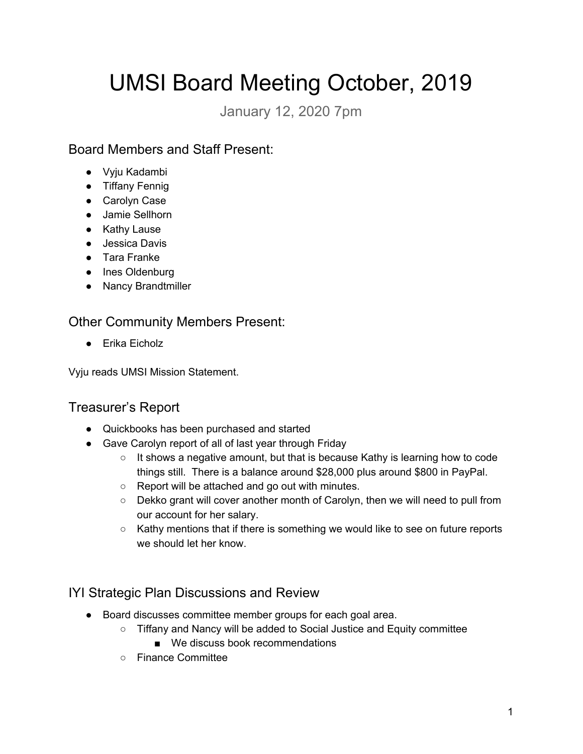# UMSI Board Meeting October, 2019

January 12, 2020 7pm

# Board Members and Staff Present:

- Vyju Kadambi
- Tiffany Fennig
- Carolyn Case
- Jamie Sellhorn
- Kathy Lause
- Jessica Davis
- Tara Franke
- Ines Oldenburg
- Nancy Brandtmiller

## Other Community Members Present:

● Erika Eicholz

Vyju reads UMSI Mission Statement.

# Treasurer's Report

- Quickbooks has been purchased and started
- Gave Carolyn report of all of last year through Friday
	- $\circ$  It shows a negative amount, but that is because Kathy is learning how to code things still. There is a balance around \$28,000 plus around \$800 in PayPal.
	- Report will be attached and go out with minutes.
	- Dekko grant will cover another month of Carolyn, then we will need to pull from our account for her salary.
	- Kathy mentions that if there is something we would like to see on future reports we should let her know.

# IYI Strategic Plan Discussions and Review

- Board discusses committee member groups for each goal area.
	- Tiffany and Nancy will be added to Social Justice and Equity committee
		- We discuss book recommendations
	- Finance Committee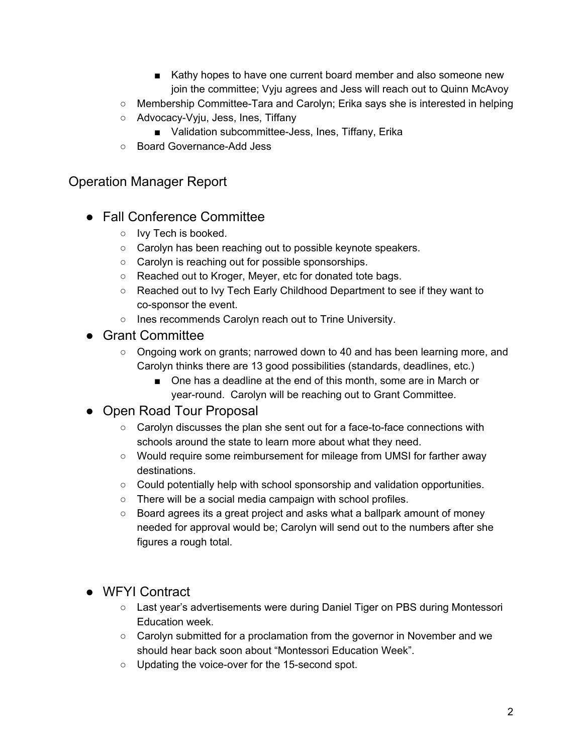- Kathy hopes to have one current board member and also someone new join the committee; Vyju agrees and Jess will reach out to Quinn McAvoy
- Membership Committee-Tara and Carolyn; Erika says she is interested in helping
- Advocacy-Vyju, Jess, Ines, Tiffany
	- Validation subcommittee-Jess, Ines, Tiffany, Erika
- Board Governance-Add Jess

#### Operation Manager Report

- Fall Conference Committee
	- Ivy Tech is booked.
	- Carolyn has been reaching out to possible keynote speakers.
	- Carolyn is reaching out for possible sponsorships.
	- Reached out to Kroger, Meyer, etc for donated tote bags.
	- Reached out to Ivy Tech Early Childhood Department to see if they want to co-sponsor the event.
	- Ines recommends Carolyn reach out to Trine University.
- Grant Committee
	- Ongoing work on grants; narrowed down to 40 and has been learning more, and Carolyn thinks there are 13 good possibilities (standards, deadlines, etc.)
		- One has a deadline at the end of this month, some are in March or year-round. Carolyn will be reaching out to Grant Committee.

#### • Open Road Tour Proposal

- $\circ$  Carolyn discusses the plan she sent out for a face-to-face connections with schools around the state to learn more about what they need.
- Would require some reimbursement for mileage from UMSI for farther away destinations.
- $\circ$  Could potentially help with school sponsorship and validation opportunities.
- There will be a social media campaign with school profiles.
- Board agrees its a great project and asks what a ballpark amount of money needed for approval would be; Carolyn will send out to the numbers after she figures a rough total.
- WFYI Contract
	- Last year's advertisements were during Daniel Tiger on PBS during Montessori Education week.
	- Carolyn submitted for a proclamation from the governor in November and we should hear back soon about "Montessori Education Week".
	- Updating the voice-over for the 15-second spot.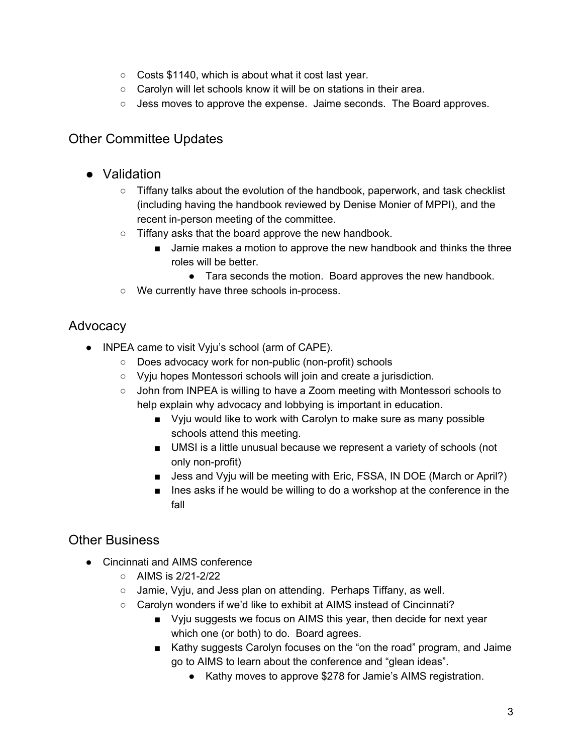- Costs \$1140, which is about what it cost last year.
- Carolyn will let schools know it will be on stations in their area.
- Jess moves to approve the expense. Jaime seconds. The Board approves.

#### Other Committee Updates

- Validation
	- Tiffany talks about the evolution of the handbook, paperwork, and task checklist (including having the handbook reviewed by Denise Monier of MPPI), and the recent in-person meeting of the committee.
	- Tiffany asks that the board approve the new handbook.
		- Jamie makes a motion to approve the new handbook and thinks the three roles will be better.
			- Tara seconds the motion. Board approves the new handbook.
	- We currently have three schools in-process.

## Advocacy

- INPEA came to visit Vyju's school (arm of CAPE).
	- Does advocacy work for non-public (non-profit) schools
	- Vyju hopes Montessori schools will join and create a jurisdiction.
	- John from INPEA is willing to have a Zoom meeting with Montessori schools to help explain why advocacy and lobbying is important in education.
		- Vyju would like to work with Carolyn to make sure as many possible schools attend this meeting.
		- UMSI is a little unusual because we represent a variety of schools (not only non-profit)
		- Jess and Vyju will be meeting with Eric, FSSA, IN DOE (March or April?)
		- Ines asks if he would be willing to do a workshop at the conference in the fall

#### Other Business

- Cincinnati and AIMS conference
	- AIMS is 2/21-2/22
	- Jamie, Vyju, and Jess plan on attending. Perhaps Tiffany, as well.
	- Carolyn wonders if we'd like to exhibit at AIMS instead of Cincinnati?
		- Vyju suggests we focus on AIMS this year, then decide for next year which one (or both) to do. Board agrees.
		- Kathy suggests Carolyn focuses on the "on the road" program, and Jaime go to AIMS to learn about the conference and "glean ideas".
			- Kathy moves to approve \$278 for Jamie's AIMS registration.